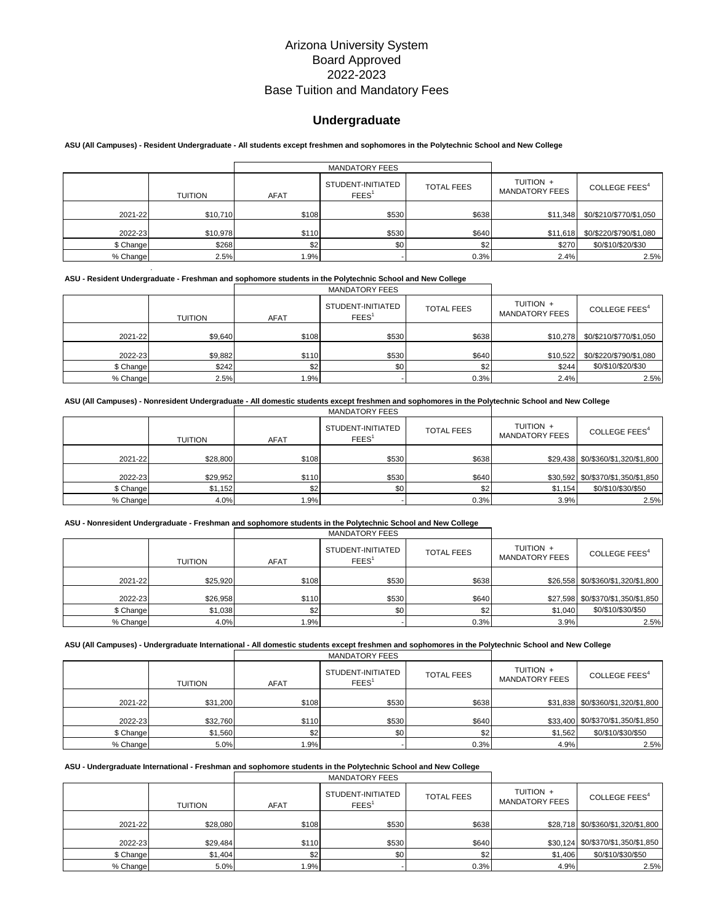# **Undergraduate**

### **ASU (All Campuses) - Resident Undergraduate - All students except freshmen and sophomores in the Polytechnic School and New College**

|           |                |             | <b>MANDATORY FEES</b>                  |                   |                                    |                           |
|-----------|----------------|-------------|----------------------------------------|-------------------|------------------------------------|---------------------------|
|           | <b>TUITION</b> | <b>AFAT</b> | STUDENT-INITIATED<br>FEES <sup>1</sup> | <b>TOTAL FEES</b> | TUITION +<br><b>MANDATORY FEES</b> | COLLEGE FEES <sup>4</sup> |
| 2021-22   | \$10,710       | \$108       | \$530                                  | \$638             | \$11,348                           | \$0/\$210/\$770/\$1,050   |
| 2022-23   | \$10,978       | \$110       | \$530                                  | \$640             | \$11,618                           | \$0/\$220/\$790/\$1,080   |
| \$ Change | \$268          | \$2         | \$0                                    | \$2               | \$270                              | \$0/\$10/\$20/\$30        |
| % Change  | 2.5%           | .9%         |                                        | 0.3%              | 2.4%                               | 2.5%                      |

#### **ASU - Resident Undergraduate - Freshman and sophomore students in the Polytechnic School and New College**

.

|           |         |             | <b>MANDATORY FEES</b>                  |                   |                                    |                                  |
|-----------|---------|-------------|----------------------------------------|-------------------|------------------------------------|----------------------------------|
|           | TUITION | <b>AFAT</b> | STUDENT-INITIATED<br>FEES <sup>1</sup> | <b>TOTAL FEES</b> | TUITION +<br><b>MANDATORY FEES</b> | COLLEGE FEES <sup>4</sup>        |
| 2021-22   | \$9.640 | \$108       | \$530                                  | \$638             |                                    | \$10,278 \$0/\$210/\$770/\$1,050 |
| 2022-23   | \$9,882 | \$110       | \$530                                  | \$640             | \$10,522                           | \$0/\$220/\$790/\$1,080          |
| \$ Change | \$242   | \$2         | \$0                                    | \$2               | \$244                              | \$0/\$10/\$20/\$30               |
| % Change  | 2.5%    | 1.9%        |                                        | 0.3%              | 2.4%                               | 2.5%                             |

# **ASU (All Campuses) - Nonresident Undergraduate - All domestic students except freshmen and sophomores in the Polytechnic School and New College**

|           |          |       | <b>MANDATORY FEES</b>                  |                   |                                    |                                    |
|-----------|----------|-------|----------------------------------------|-------------------|------------------------------------|------------------------------------|
|           | TUITION  | AFAT  | STUDENT-INITIATED<br>FEES <sup>1</sup> | <b>TOTAL FEES</b> | TUITION +<br><b>MANDATORY FEES</b> | COLLEGE FEES <sup>4</sup>          |
| 2021-22   | \$28,800 | \$108 | \$530                                  | \$638             |                                    | \$29,438 \$0/\$360/\$1,320/\$1,800 |
| 2022-23   | \$29,952 | \$110 | \$530                                  | \$640             |                                    | \$30,592 \$0/\$370/\$1,350/\$1,850 |
| \$ Change | \$1,152  | \$2   | \$0                                    | \$2               | \$1,154                            | \$0/\$10/\$30/\$50                 |
| % Change  | 4.0%     | 1.9%  |                                        | 0.3%              | 3.9%                               | 2.5%                               |

#### **ASU - Nonresident Undergraduate - Freshman and sophomore students in the Polytechnic School and New College**

|           |                |             | <b>MANDATORY FEES</b>                  |                   |                                    |                                    |
|-----------|----------------|-------------|----------------------------------------|-------------------|------------------------------------|------------------------------------|
|           | <b>TUITION</b> | <b>AFAT</b> | STUDENT-INITIATED<br>FEES <sup>1</sup> | <b>TOTAL FEES</b> | TUITION +<br><b>MANDATORY FEES</b> | COLLEGE FEES <sup>4</sup>          |
| 2021-22   | \$25,920       | \$108       | \$530                                  | \$638             |                                    | \$26,558 \$0/\$360/\$1,320/\$1,800 |
| 2022-23   | \$26,958       | \$110       | \$530                                  | \$640             |                                    | \$27.598 \$0/\$370/\$1,350/\$1,850 |
| \$ Change | \$1,038        | \$2         | \$0                                    | \$2               | \$1.040                            | \$0/\$10/\$30/\$50                 |
| % Change  | 4.0%           | 1.9%        |                                        | 0.3%              | 3.9%                               | 2.5%                               |

#### **ASU (All Campuses) - Undergraduate International - All domestic students except freshmen and sophomores in the Polytechnic School and New College**

|           |          |             | <b>MANDATORY FEES</b>                  |                   |                                    |                                    |
|-----------|----------|-------------|----------------------------------------|-------------------|------------------------------------|------------------------------------|
|           | TUITION  | <b>AFAT</b> | STUDENT-INITIATED<br>FEES <sup>1</sup> | <b>TOTAL FEES</b> | TUITION +<br><b>MANDATORY FEES</b> | COLLEGE FEES <sup>4</sup>          |
| 2021-22   | \$31,200 | \$108       | \$530                                  | \$638             |                                    | \$31,838 \$0/\$360/\$1,320/\$1,800 |
| 2022-23   | \$32,760 | \$110       | \$530                                  | \$640             |                                    | \$33,400 \$0/\$370/\$1,350/\$1,850 |
| \$ Change | \$1,560  | \$2         | \$0 <sub>1</sub>                       | \$2               | \$1,562                            | \$0/\$10/\$30/\$50                 |
| % Change  | 5.0%     | 1.9%        |                                        | 0.3%              | 4.9%                               | 2.5%                               |

#### **ASU - Undergraduate International - Freshman and sophomore students in the Polytechnic School and New College**

|           |                |             | <b>MANDATORY FEES</b>                  |                   |                                    |                                    |
|-----------|----------------|-------------|----------------------------------------|-------------------|------------------------------------|------------------------------------|
|           | <b>TUITION</b> | <b>AFAT</b> | STUDENT-INITIATED<br>FEES <sup>1</sup> | <b>TOTAL FEES</b> | TUITION +<br><b>MANDATORY FEES</b> | COLLEGE FEES <sup>4</sup>          |
| 2021-22   | \$28,080       | \$108       | \$530                                  | \$638             |                                    | \$28,718 \$0/\$360/\$1,320/\$1,800 |
| 2022-23   | \$29,484       | \$110       | \$530                                  | \$640             |                                    | \$30,124 \$0/\$370/\$1,350/\$1,850 |
| \$ Change | \$1,404        | \$2         | \$0 <sub>1</sub>                       | \$2               | \$1,406                            | \$0/\$10/\$30/\$50                 |
| % Change  | 5.0%           | 1.9%        |                                        | 0.3%              | 4.9%                               | 2.5%                               |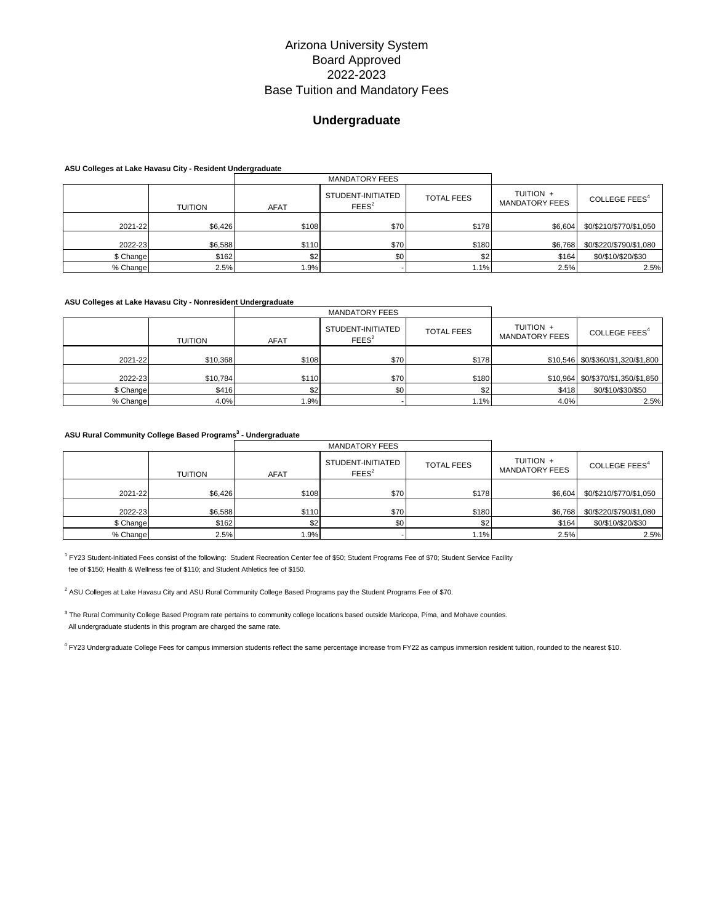# **Undergraduate**

**ASU Colleges at Lake Havasu City - Resident Undergraduate**

|           |         |             | <b>MANDATORY FEES</b>                  |                   |                                    |                           |
|-----------|---------|-------------|----------------------------------------|-------------------|------------------------------------|---------------------------|
|           | TUITION | <b>AFAT</b> | STUDENT-INITIATED<br>FEES <sup>2</sup> | <b>TOTAL FEES</b> | TUITION +<br><b>MANDATORY FEES</b> | COLLEGE FEES <sup>4</sup> |
| 2021-22   | \$6.426 | \$108       | \$70                                   | \$178             | \$6,604                            | \$0/\$210/\$770/\$1,050   |
| 2022-23   | \$6,588 | \$110       | \$70                                   | \$180             | \$6,768                            | \$0/\$220/\$790/\$1,080   |
| \$ Change | \$162   | \$2         | \$0                                    | \$2               | \$164                              | \$0/\$10/\$20/\$30        |
| % Change  | 2.5%    | 1.9%        |                                        | 1.1%              | 2.5%                               | 2.5%                      |

### **ASU Colleges at Lake Havasu City - Nonresident Undergraduate**

|           |          |             | <b>MANDATORY FEES</b>                  |                   |                                    |                                    |
|-----------|----------|-------------|----------------------------------------|-------------------|------------------------------------|------------------------------------|
|           | TUITION  | <b>AFAT</b> | STUDENT-INITIATED<br>FEES <sup>2</sup> | <b>TOTAL FEES</b> | TUITION +<br><b>MANDATORY FEES</b> | COLLEGE FEES <sup>4</sup>          |
| 2021-22   | \$10,368 | \$108       | \$70                                   | \$178             |                                    | \$10,546 \$0/\$360/\$1,320/\$1,800 |
| 2022-23   | \$10,784 | \$110       | \$70                                   | \$180             |                                    | \$10,964 \$0/\$370/\$1,350/\$1,850 |
| \$ Change | \$416    | \$2         | \$0                                    | \$2               | \$418                              | \$0/\$10/\$30/\$50                 |
| % Change  | 4.0%     | 1.9%        |                                        | 1.1%              | 4.0%                               | 2.5%                               |

#### **ASU Rural Community College Based Programs<sup>3</sup> - Undergraduate**

|           |         |             | <b>MANDATORY FEES</b>                  |                   |                                    |                           |
|-----------|---------|-------------|----------------------------------------|-------------------|------------------------------------|---------------------------|
|           | TUITION | <b>AFAT</b> | STUDENT-INITIATED<br>FEES <sup>2</sup> | <b>TOTAL FEES</b> | TUITION +<br><b>MANDATORY FEES</b> | COLLEGE FEES <sup>4</sup> |
| 2021-22   | \$6,426 | \$108       | \$70                                   | \$178             | \$6,604                            | \$0/\$210/\$770/\$1,050   |
| 2022-23   | \$6,588 | \$110       | \$70                                   | \$180             | \$6,768                            | \$0/\$220/\$790/\$1,080   |
| \$ Change | \$162   | \$2         | \$0 <sub>1</sub>                       | \$2               | \$164                              | \$0/\$10/\$20/\$30        |
| % Change  | 2.5%    | 1.9%        |                                        | 1.1%              | 2.5%                               | 2.5%                      |

<sup>1</sup> FY23 Student-Initiated Fees consist of the following: Student Recreation Center fee of \$50; Student Programs Fee of \$70; Student Service Facility fee of \$150; Health & Wellness fee of \$110; and Student Athletics fee of \$150.

<sup>2</sup> ASU Colleges at Lake Havasu City and ASU Rural Community College Based Programs pay the Student Programs Fee of \$70.

<sup>3</sup> The Rural Community College Based Program rate pertains to community college locations based outside Maricopa, Pima, and Mohave counties. All undergraduate students in this program are charged the same rate.

4 FY23 Undergraduate College Fees for campus immersion students reflect the same percentage increase from FY22 as campus immersion resident tuition, rounded to the nearest \$10.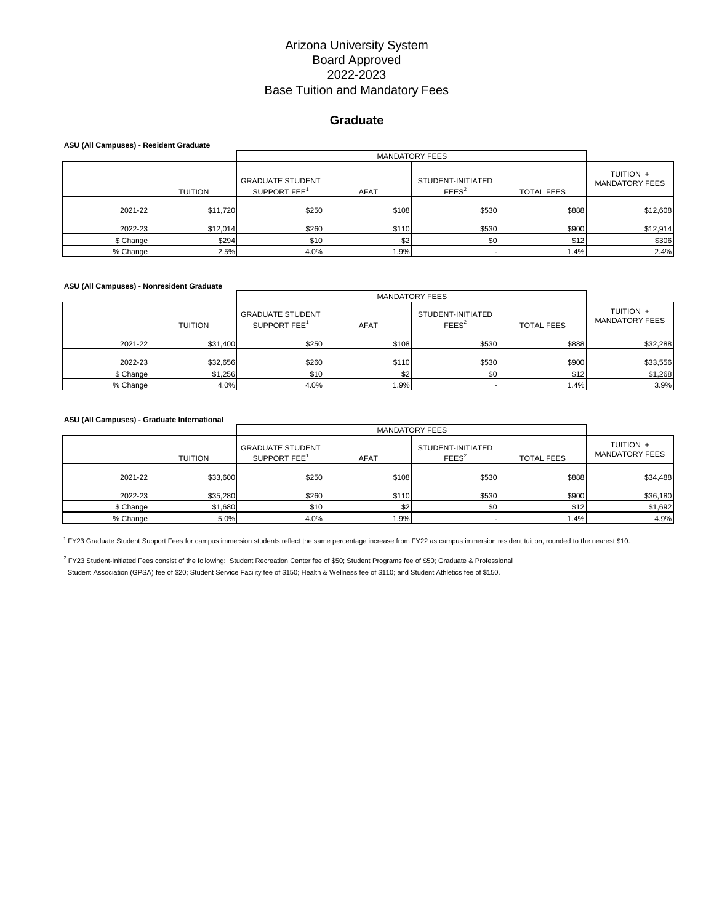### **Graduate**

#### **ASU (All Campuses) - Resident Graduate**

| ASU (All Callipuses) - Resident Graduate |                |                                                     |             |                                        |                   |                                    |  |
|------------------------------------------|----------------|-----------------------------------------------------|-------------|----------------------------------------|-------------------|------------------------------------|--|
|                                          |                |                                                     |             |                                        |                   |                                    |  |
|                                          | <b>TUITION</b> | <b>GRADUATE STUDENT</b><br>SUPPORT FEE <sup>1</sup> | <b>AFAT</b> | STUDENT-INITIATED<br>FEES <sup>2</sup> | <b>TOTAL FEES</b> | TUITION +<br><b>MANDATORY FEES</b> |  |
| 2021-22                                  | \$11,720       | \$250                                               | \$108       | \$530                                  | \$888             | \$12,608                           |  |
| 2022-23                                  | \$12,014       | \$260                                               | \$110       | \$530                                  | \$900             | \$12,914                           |  |
| \$ Change                                | \$294          | \$10                                                | \$2         | \$0                                    | \$12              | \$306                              |  |
| % Change                                 | 2.5%           | 4.0%                                                | .9%         |                                        | 1.4%              | 2.4%                               |  |

#### **ASU (All Campuses) - Nonresident Graduate**

|           |                |                                                     | <b>MANDATORY FEES</b> |                                        |                   |                                    |  |  |
|-----------|----------------|-----------------------------------------------------|-----------------------|----------------------------------------|-------------------|------------------------------------|--|--|
|           | <b>TUITION</b> | <b>GRADUATE STUDENT</b><br>SUPPORT FEE <sup>1</sup> | <b>AFAT</b>           | STUDENT-INITIATED<br>FEES <sup>2</sup> | <b>TOTAL FEES</b> | TUITION +<br><b>MANDATORY FEES</b> |  |  |
| 2021-22   | \$31,400       | \$250                                               | \$108                 | \$530                                  | \$888             | \$32,288                           |  |  |
| 2022-23   | \$32,656       | \$260                                               | \$110                 | \$530                                  | \$900             | \$33,556                           |  |  |
| \$ Change | \$1,256        | \$10                                                | \$2                   | \$0                                    | \$12              | \$1,268                            |  |  |
| % Change  | 4.0%           | 4.0%                                                | .9%                   |                                        | 1.4%              | 3.9%                               |  |  |

#### **ASU (All Campuses) - Graduate International**

|           |                |                                                     | <b>MANDATORY FEES</b> |                                        |                   |                                    |  |
|-----------|----------------|-----------------------------------------------------|-----------------------|----------------------------------------|-------------------|------------------------------------|--|
|           | <b>TUITION</b> | <b>GRADUATE STUDENT</b><br>SUPPORT FEE <sup>1</sup> | <b>AFAT</b>           | STUDENT-INITIATED<br>FEES <sup>2</sup> | <b>TOTAL FEES</b> | TUITION +<br><b>MANDATORY FEES</b> |  |
| 2021-22   | \$33,600       | \$250                                               | \$108                 | \$530                                  | \$888             | \$34,488                           |  |
| 2022-23   | \$35,280       | \$260                                               | \$110                 | \$530                                  | \$900             | \$36,180                           |  |
| \$ Change | \$1,680        | \$10                                                | \$2                   | \$0                                    | \$12              | \$1,692                            |  |
| % Change  | 5.0%           | 4.0%                                                | 1.9%                  |                                        | 1.4%              | 4.9%                               |  |

<sup>1</sup> FY23 Graduate Student Support Fees for campus immersion students reflect the same percentage increase from FY22 as campus immersion resident tuition, rounded to the nearest \$10.

<sup>2</sup> FY23 Student-Initiated Fees consist of the following: Student Recreation Center fee of \$50; Student Programs fee of \$50; Graduate & Professional

Student Association (GPSA) fee of \$20; Student Service Facility fee of \$150; Health & Wellness fee of \$110; and Student Athletics fee of \$150.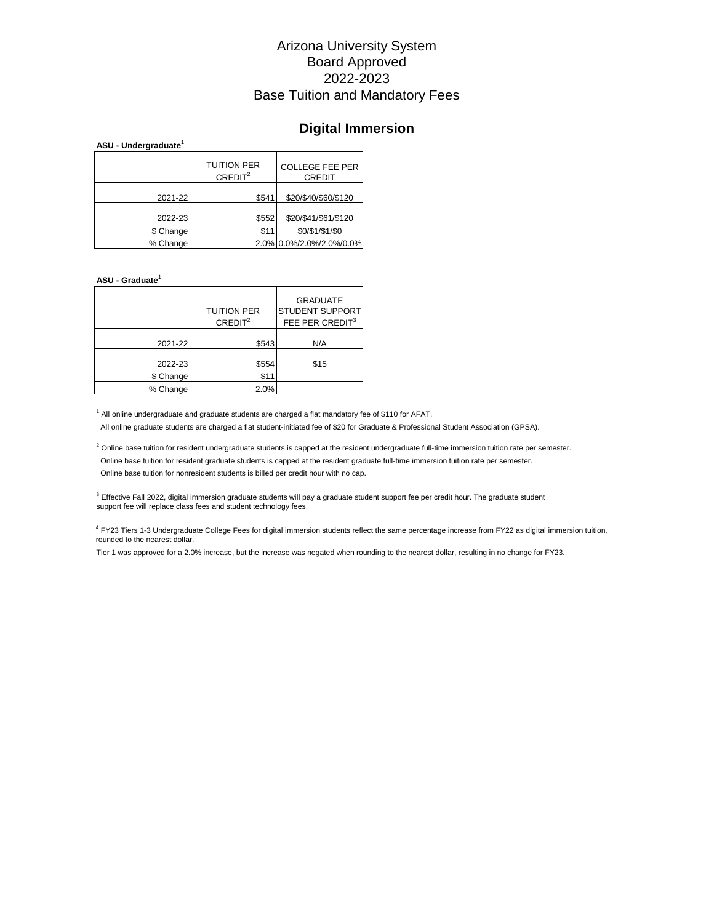# **Digital Immersion**

#### **ASU - Undergraduate**<sup>1</sup>

|           | <b>TUITION PER</b><br>CREDIT <sup>2</sup> | <b>COLLEGE FEE PER</b><br><b>CREDIT</b> |
|-----------|-------------------------------------------|-----------------------------------------|
| 2021-22   | \$541                                     | \$20/\$40/\$60/\$120                    |
| 2022-23   | \$552                                     | \$20/\$41/\$61/\$120                    |
| \$ Change | \$11                                      | \$0/\$1/\$1/\$0                         |
| % Change  |                                           | 2.0% 0.0%/2.0%/2.0%/0.0%                |

#### **ASU - Graduate**<sup>1</sup>

|           | <b>TUITION PER</b><br>CREDIT <sup>2</sup> | <b>GRADUATE</b><br><b>STUDENT SUPPORT</b><br>FEE PER CREDIT <sup>3</sup> |
|-----------|-------------------------------------------|--------------------------------------------------------------------------|
| 2021-22   | \$543                                     | N/A                                                                      |
| 2022-23   | \$554                                     | \$15                                                                     |
| \$ Change | \$1                                       |                                                                          |
| % Change  | 2.0%                                      |                                                                          |

<sup>1</sup> All online undergraduate and graduate students are charged a flat mandatory fee of \$110 for AFAT. All online graduate students are charged a flat student-initiated fee of \$20 for Graduate & Professional Student Association (GPSA).

 $^2$  Online base tuition for resident undergraduate students is capped at the resident undergraduate full-time immersion tuition rate per semester. Online base tuition for resident graduate students is capped at the resident graduate full-time immersion tuition rate per semester. Online base tuition for nonresident students is billed per credit hour with no cap.

<sup>3</sup> Effective Fall 2022, digital immersion graduate students will pay a graduate student support fee per credit hour. The graduate student support fee will replace class fees and student technology fees.

<sup>4</sup> FY23 Tiers 1-3 Undergraduate College Fees for digital immersion students reflect the same percentage increase from FY22 as digital immersion tuition, rounded to the nearest dollar.

Tier 1 was approved for a 2.0% increase, but the increase was negated when rounding to the nearest dollar, resulting in no change for FY23.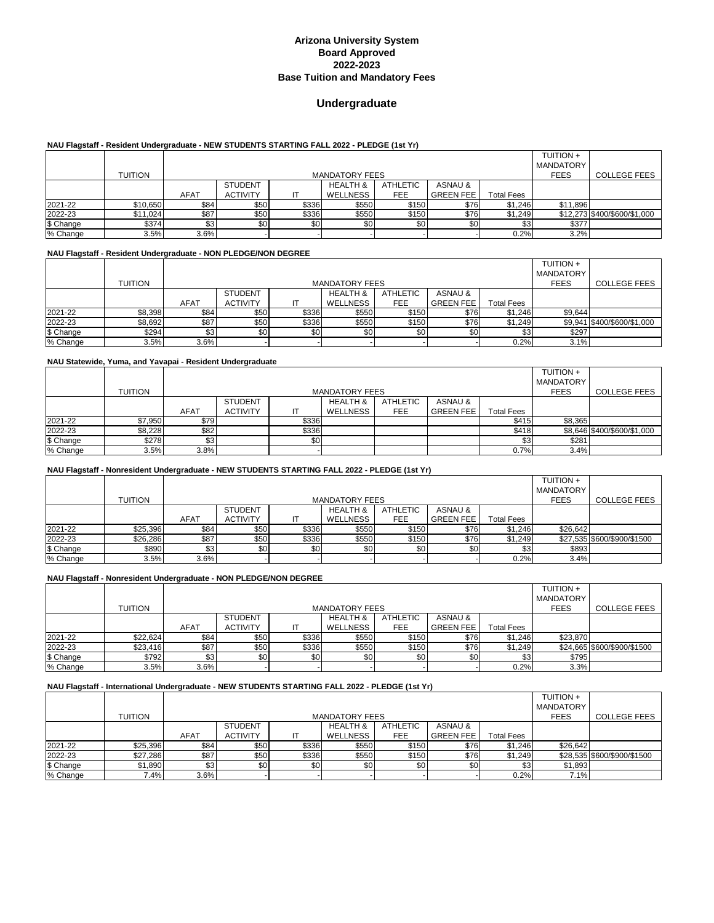# **Undergraduate**

#### **NAU Flagstaff - Resident Undergraduate - NEW STUDENTS STARTING FALL 2022 - PLEDGE (1st Yr)**

|           |                |             |                 |       |                       |          |                  |                   | <b>TUITION +</b> |                              |
|-----------|----------------|-------------|-----------------|-------|-----------------------|----------|------------------|-------------------|------------------|------------------------------|
|           |                |             |                 |       |                       |          |                  |                   | <b>MANDATORY</b> |                              |
|           | <b>TUITION</b> |             |                 |       | <b>MANDATORY FEES</b> |          |                  |                   | <b>FEES</b>      | <b>COLLEGE FEES</b>          |
|           |                |             | <b>STUDENT</b>  |       | <b>HEALTH &amp;</b>   | ATHLETIC | ASNAU &          |                   |                  |                              |
|           |                | <b>AFAT</b> | <b>ACTIVITY</b> |       | WELLNESS              | FEE      | <b>GREEN FEE</b> | <b>Total Fees</b> |                  |                              |
| 2021-22   | \$10,650       | \$84        | \$50            | \$336 | \$550                 | \$150    | \$76             | \$1,246           | \$11,896         |                              |
| 2022-23   | \$11,024       | \$87        | \$50            | \$336 | \$550                 | \$150    | \$76             | \$1,249           |                  | \$12,273 \$400/\$600/\$1,000 |
| \$ Change | \$374          | \$3         | \$0             | \$0   | \$0                   | \$0      | \$0              | \$3               | \$377            |                              |
| % Change  | 3.5%           | 3.6%        |                 |       |                       |          |                  | $0.2\%$           | 3.2%             |                              |

### **NAU Flagstaff - Resident Undergraduate - NON PLEDGE/NON DEGREE**

|           |                |             |                 |       |                       |                  |                    |                   | <b>TUITION +</b> |                             |
|-----------|----------------|-------------|-----------------|-------|-----------------------|------------------|--------------------|-------------------|------------------|-----------------------------|
|           |                |             |                 |       |                       |                  |                    |                   | <b>MANDATORY</b> |                             |
|           | <b>TUITION</b> |             |                 |       | <b>MANDATORY FEES</b> |                  |                    |                   | <b>FEES</b>      | <b>COLLEGE FEES</b>         |
|           |                |             | <b>STUDENT</b>  |       | <b>HEALTH &amp;</b>   | ATHLETIC         | <b>ASNAU &amp;</b> |                   |                  |                             |
|           |                | <b>AFAT</b> | <b>ACTIVITY</b> |       | WELLNESS              | FEE              | <b>GREEN FEE</b>   | <b>Total Fees</b> |                  |                             |
| 2021-22   | \$8,398        | \$84        | \$50            | \$336 | \$550                 | \$150            | \$76               | \$1,246           | \$9,644          |                             |
| 2022-23   | \$8,692        | \$87        | \$50            | \$336 | \$550                 | \$150            | \$76               | \$1,249           |                  | \$9,941 \$400/\$600/\$1,000 |
| \$ Change | \$294          | \$3         | \$0             | \$0   | \$0                   | \$0 <sub>1</sub> | \$0                | \$3               | \$297            |                             |
| % Change  | 3.5%           | 3.6%        |                 |       |                       |                  |                    | 0.2%              | 3.1%             |                             |

#### **NAU Statewide, Yuma, and Yavapai - Resident Undergraduate**

|           |                |             |                       |       |                     |            |                  |                   | TUITION +        |                             |
|-----------|----------------|-------------|-----------------------|-------|---------------------|------------|------------------|-------------------|------------------|-----------------------------|
|           |                |             |                       |       |                     |            |                  |                   | <b>MANDATORY</b> |                             |
|           | <b>TUITION</b> |             | <b>MANDATORY FEES</b> |       |                     |            |                  |                   |                  | <b>COLLEGE FEES</b>         |
|           |                |             | <b>STUDENT</b>        |       | <b>HEALTH &amp;</b> | ATHLETIC   | ASNAU &          |                   |                  |                             |
|           |                | <b>AFAT</b> | <b>ACTIVITY</b>       | IΤ    | WELLNESS            | <b>FEE</b> | <b>GREEN FEE</b> | <b>Total Fees</b> |                  |                             |
| 2021-22   | \$7,950        | \$79        |                       | \$336 |                     |            |                  | \$415             | \$8,365          |                             |
| 2022-23   | \$8,228        | \$82        |                       | \$336 |                     |            |                  | \$418             |                  | \$8,646 \$400/\$600/\$1,000 |
| \$ Change | \$278          | \$3         |                       | \$0   |                     |            |                  | \$3               | \$281            |                             |
| % Change  | 3.5%           | 3.8%        |                       |       |                     |            |                  | 0.7%              | 3.4%             |                             |

#### **NAU Flagstaff - Nonresident Undergraduate - NEW STUDENTS STARTING FALL 2022 - PLEDGE (1st Yr)**

|           |                |             |                 |       |                       |                  |                  |                   | <b>TUITION +</b> |                             |
|-----------|----------------|-------------|-----------------|-------|-----------------------|------------------|------------------|-------------------|------------------|-----------------------------|
|           |                |             |                 |       |                       |                  |                  |                   | <b>MANDATORY</b> |                             |
|           | <b>TUITION</b> |             |                 |       | <b>MANDATORY FEES</b> |                  |                  |                   | <b>FEES</b>      | <b>COLLEGE FEES</b>         |
|           |                |             | <b>STUDENT</b>  |       | <b>HEALTH &amp;</b>   | ATHLETIC         | ASNAU &          |                   |                  |                             |
|           |                | <b>AFAT</b> | <b>ACTIVITY</b> |       | WELLNESS              | FEE              | <b>GREEN FEE</b> | <b>Total Fees</b> |                  |                             |
| 2021-22   | \$25,396       | \$84        | \$50            | \$336 | \$550                 | \$150            | \$76             | \$1,246           | \$26.642         |                             |
| 2022-23   | \$26,286       | \$87        | \$50            | \$336 | \$550                 | \$150            | \$76             | \$1.249           |                  | \$27.535 \$600/\$900/\$1500 |
| \$ Change | \$890          | \$3         | \$0             | \$0   | \$0                   | \$0 <sub>1</sub> | \$0              | \$3               | \$893            |                             |
| % Change  | 3.5%           | 3.6%        |                 |       |                       |                  |                  | 0.2%              | 3.4%             |                             |

#### **NAU Flagstaff - Nonresident Undergraduate - NON PLEDGE/NON DEGREE**

|           |          |                  |                 |       |                       |                 |                  |                   | <b>TUITION +</b> |                             |
|-----------|----------|------------------|-----------------|-------|-----------------------|-----------------|------------------|-------------------|------------------|-----------------------------|
|           |          |                  |                 |       |                       |                 |                  |                   | <b>MANDATORY</b> |                             |
|           | TUITION  |                  |                 |       | <b>MANDATORY FEES</b> |                 |                  |                   | <b>FEES</b>      | <b>COLLEGE FEES</b>         |
|           |          |                  | <b>STUDENT</b>  |       | <b>HEALTH &amp;</b>   | <b>ATHLETIC</b> | ASNAU &          |                   |                  |                             |
|           |          | <b>AFAT</b>      | <b>ACTIVITY</b> | IT    | WELLNESS              | FEE             | <b>GREEN FEE</b> | <b>Total Fees</b> |                  |                             |
| 2021-22   | \$22,624 | \$84             | \$50            | \$336 | \$550                 | \$150           | \$76             | \$1,246           | \$23.870         |                             |
| 2022-23   | \$23,416 | \$87             | \$50            | \$336 | \$550                 | \$150           | \$76             | \$1,249           |                  | \$24,665 \$600/\$900/\$1500 |
| \$ Change | \$792    | \$3 <sub>1</sub> | \$0             | \$0   | \$0                   | \$0             | \$0              | \$3               | \$795            |                             |
| % Change  | 3.5%     | 3.6%             |                 |       |                       |                 |                  | 0.2%              | 3.3%             |                             |

#### **NAU Flagstaff - International Undergraduate - NEW STUDENTS STARTING FALL 2022 - PLEDGE (1st Yr)**

|           |          |             |                  |       |                       |                  |                  |                   | <b>TUITION +</b> |                             |
|-----------|----------|-------------|------------------|-------|-----------------------|------------------|------------------|-------------------|------------------|-----------------------------|
|           |          |             |                  |       |                       |                  |                  |                   | <b>MANDATORY</b> |                             |
|           | TUITION  |             |                  |       | <b>MANDATORY FEES</b> |                  |                  |                   | <b>FEES</b>      | <b>COLLEGE FEES</b>         |
|           |          |             | <b>STUDENT</b>   |       | <b>HEALTH &amp;</b>   | ATHLETIC         | ASNAU &          |                   |                  |                             |
|           |          | <b>AFAT</b> | <b>ACTIVITY</b>  |       | WELLNESS              | FEE              | <b>GREEN FEE</b> | <b>Total Fees</b> |                  |                             |
| 2021-22   | \$25,396 | \$84        | \$50             | \$336 | \$550                 | \$150            | \$76             | \$1.246           | \$26.642         |                             |
| 2022-23   | \$27,286 | \$87        | \$50             | \$336 | \$550                 | \$150            | \$76             | \$1,249           |                  | \$28,535 \$600/\$900/\$1500 |
| \$ Change | \$1,890  | \$3         | \$0 <sub>1</sub> | \$0   | \$0                   | \$0 <sub>1</sub> | \$0              | \$3               | \$1,893          |                             |
| % Change  | 7.4%     | 3.6%        |                  |       |                       |                  |                  | 0.2%              | 7.1%             |                             |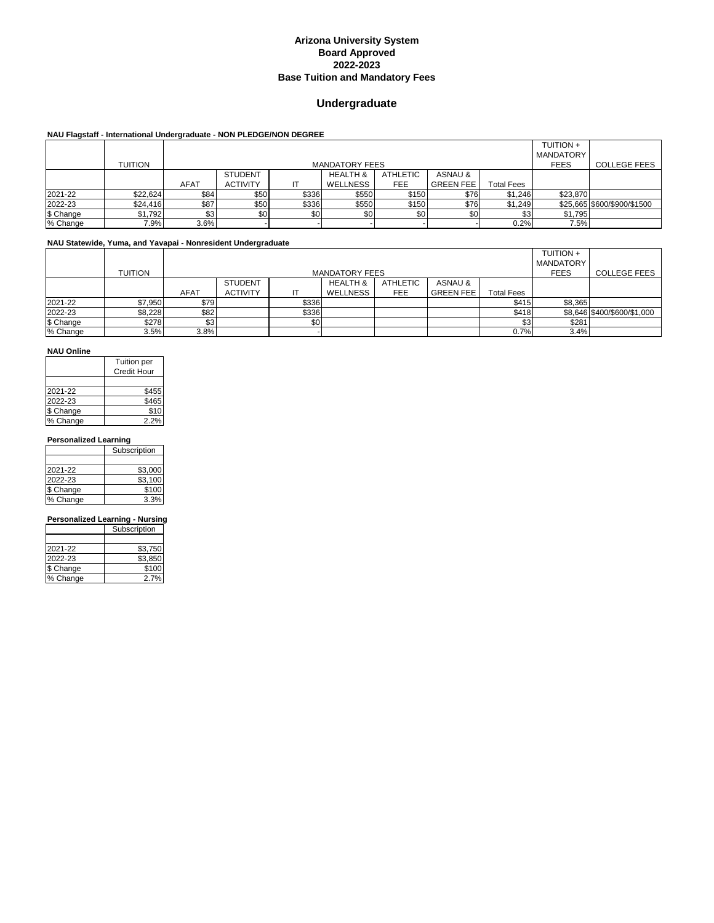### **Undergraduate**

### **NAU Flagstaff - International Undergraduate - NON PLEDGE/NON DEGREE**

|           |                |             |                 |       |                       |          |                  |                   | <b>TUITION +</b> |                             |
|-----------|----------------|-------------|-----------------|-------|-----------------------|----------|------------------|-------------------|------------------|-----------------------------|
|           |                |             |                 |       |                       |          |                  |                   | <b>MANDATORY</b> |                             |
|           | <b>TUITION</b> |             |                 |       | <b>MANDATORY FEES</b> |          |                  |                   | <b>FEES</b>      | <b>COLLEGE FEES</b>         |
|           |                |             | <b>STUDENT</b>  |       | <b>HEALTH &amp;</b>   | ATHLETIC | ASNAU &          |                   |                  |                             |
|           |                | <b>AFAT</b> | <b>ACTIVITY</b> |       | WELLNESS              | FEE      | <b>GREEN FEE</b> | <b>Total Fees</b> |                  |                             |
| 2021-22   | \$22,624       | \$84        | \$50            | \$336 | \$550                 | \$150    | \$76             | \$1,246           | \$23,870         |                             |
| 2022-23   | \$24,416       | \$87        | \$50            | \$336 | \$550                 | \$150    | \$76             | \$1,249           |                  | \$25,665 \$600/\$900/\$1500 |
| \$ Change | \$1,792        | \$3         | \$0             | \$0   | \$0                   | \$0      | \$0              | \$3               | \$1,795          |                             |
| % Change  | 7.9%           | 3.6%        |                 |       |                       |          |                  | 0.2%              | 7.5%             |                             |

### **NAU Statewide, Yuma, and Yavapai - Nonresident Undergraduate**

|           |         |             |                 |       |                       |            |                  |                   | <b>TUITION +</b> |                             |
|-----------|---------|-------------|-----------------|-------|-----------------------|------------|------------------|-------------------|------------------|-----------------------------|
|           |         |             |                 |       |                       |            |                  |                   | <b>MANDATORY</b> |                             |
|           | TUITION |             |                 |       | <b>MANDATORY FEES</b> |            |                  |                   | <b>FEES</b>      | <b>COLLEGE FEES</b>         |
|           |         |             | <b>STUDENT</b>  |       | <b>HEALTH &amp;</b>   | ATHLETIC   | ASNAU &          |                   |                  |                             |
|           |         | <b>AFAT</b> | <b>ACTIVITY</b> |       | WELLNESS              | <b>FEE</b> | <b>GREEN FEE</b> | <b>Total Fees</b> |                  |                             |
| 2021-22   | \$7,950 | \$79        |                 | \$336 |                       |            |                  | \$415             | \$8,365          |                             |
| 2022-23   | \$8,228 | \$82        |                 | \$336 |                       |            |                  | \$418             |                  | \$8,646 \$400/\$600/\$1,000 |
| \$ Change | \$278   | \$31        |                 | \$0   |                       |            |                  | \$3               | \$281            |                             |
| % Change  | 3.5%    | 3.8%        |                 |       |                       |            |                  | 0.7%              | 3.4%             |                             |

#### **NAU Online**

|           | Tuition per        |
|-----------|--------------------|
|           | <b>Credit Hour</b> |
|           |                    |
| 2021-22   | \$455              |
| 2022-23   | \$465              |
| \$ Change | \$10               |
| % Change  | 2.2%               |

#### **Personalized Learning**

|           | Subscription |
|-----------|--------------|
|           |              |
| 2021-22   | \$3,000      |
| 2022-23   | \$3,100      |
| \$ Change | \$100        |
| % Change  | 3.3%         |
|           |              |

### **Personalized Learning - Nursing**

|           | Subscription |
|-----------|--------------|
|           |              |
| 2021-22   | \$3,750      |
| 2022-23   | \$3,850      |
| \$ Change | \$100        |
| % Change  | 2.7%         |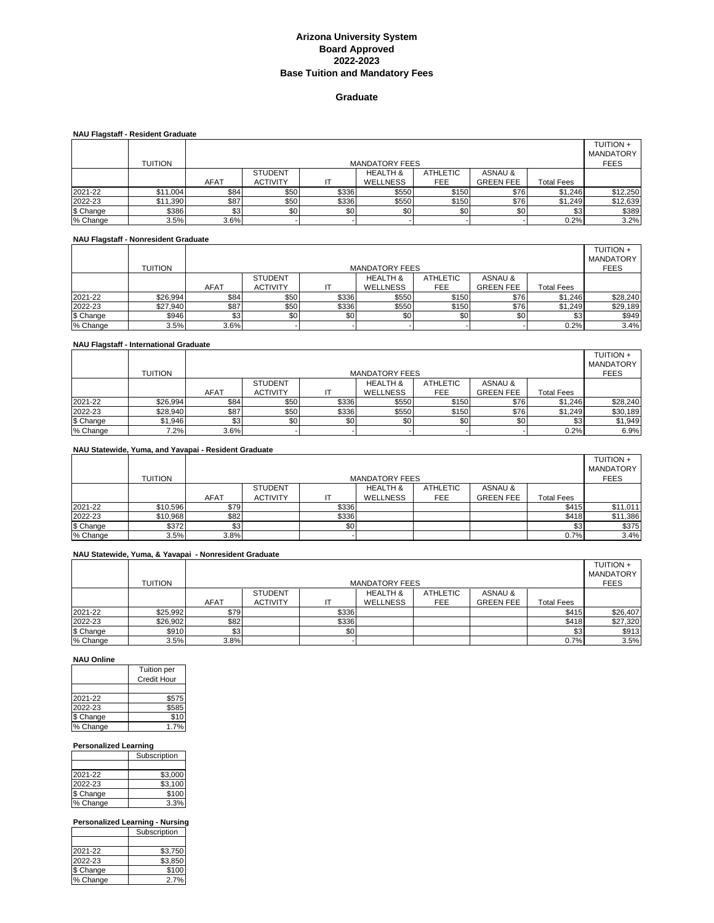### **Graduate**

| <b>NAU Flagstaff - Resident Graduate</b> |          |             |                       |       |                     |                 |                  |                   |                                      |  |  |
|------------------------------------------|----------|-------------|-----------------------|-------|---------------------|-----------------|------------------|-------------------|--------------------------------------|--|--|
|                                          |          |             |                       |       |                     |                 |                  |                   | <b>TUITION +</b><br><b>MANDATORY</b> |  |  |
|                                          |          |             |                       |       |                     |                 |                  |                   |                                      |  |  |
|                                          | TUITION  |             | <b>MANDATORY FEES</b> |       |                     |                 |                  |                   |                                      |  |  |
|                                          |          |             | <b>STUDENT</b>        |       | <b>HEALTH &amp;</b> | <b>ATHLETIC</b> | ASNAU &          |                   |                                      |  |  |
|                                          |          | <b>AFAT</b> | <b>ACTIVITY</b>       |       | <b>WELLNESS</b>     | FEE             | <b>GREEN FEE</b> | <b>Total Fees</b> |                                      |  |  |
| 2021-22                                  | \$11,004 | <b>\$84</b> | \$50                  | \$336 | \$550               | \$150           | \$76             | \$1,246           | \$12,250                             |  |  |
| 2022-23                                  | \$11,390 | \$87        | \$50                  | \$336 | \$550               | \$150           | \$76             | \$1,249           | \$12,639                             |  |  |
| \$ Change                                | \$386    | \$3         | \$0                   | \$0   | \$0 <sub>1</sub>    | \$0             | \$0              | \$3               | \$389                                |  |  |
| % Change                                 | 3.5%     | 3.6%        |                       |       |                     |                 |                  | 0.2%              | 3.2%                                 |  |  |

#### **NAU Flagstaff - Nonresident Graduate**

|           |          |      |                       |       |                     |                 |                  |            | <b>TUITION +</b> |  |  |
|-----------|----------|------|-----------------------|-------|---------------------|-----------------|------------------|------------|------------------|--|--|
|           |          |      |                       |       |                     |                 |                  |            | <b>MANDATORY</b> |  |  |
|           | TUITION  |      | <b>MANDATORY FEES</b> |       |                     |                 |                  |            |                  |  |  |
|           |          |      | <b>STUDENT</b>        |       | <b>HEALTH &amp;</b> | <b>ATHLETIC</b> | ASNAU &          |            |                  |  |  |
|           |          | AFAT | <b>ACTIVITY</b>       |       | <b>WELLNESS</b>     | FEE             | <b>GREEN FEE</b> | Total Fees |                  |  |  |
| 2021-22   | \$26,994 | \$84 | \$50                  | \$336 | \$550               | \$150           | \$76             | \$1,246    | \$28,240         |  |  |
| 2022-23   | \$27,940 | \$87 | \$50                  | \$336 | \$550               | \$150           | \$76             | \$1.249    | \$29,189         |  |  |
| \$ Change | \$946    | \$3  | \$0                   | \$0   | \$0                 | \$0             | \$0              | \$3        | \$949            |  |  |
| % Change  | 3.5%     | 3.6% |                       |       |                     |                 |                  | 0.2%       | 3.4%             |  |  |

#### **NAU Flagstaff - International Graduate**

|           |          |             |                       |       |                     |                 |                  |                   | <b>TUITION +</b><br><b>MANDATORY</b> |  |  |
|-----------|----------|-------------|-----------------------|-------|---------------------|-----------------|------------------|-------------------|--------------------------------------|--|--|
|           | TUITION  |             | <b>MANDATORY FEES</b> |       |                     |                 |                  |                   |                                      |  |  |
|           |          |             | <b>STUDENT</b>        |       | <b>HEALTH &amp;</b> | <b>ATHLETIC</b> | ASNAU &          |                   |                                      |  |  |
|           |          | <b>AFAT</b> | <b>ACTIVITY</b>       |       | <b>WELLNESS</b>     | <b>FEE</b>      | <b>GREEN FEE</b> | <b>Total Fees</b> |                                      |  |  |
| 2021-22   | \$26,994 | \$84        | \$50                  | \$336 | \$550               | \$150           | \$76             | \$1.246           | \$28,240                             |  |  |
| 2022-23   | \$28,940 | \$87        | \$50                  | \$336 | \$550               | \$150           | \$76             | \$1,249           | \$30,189                             |  |  |
| \$ Change | \$1,946  | \$3         | \$0                   | \$0   | \$0 <sub>0</sub>    | \$0             | \$0              | \$3               | \$1,949                              |  |  |
| % Change  | 7.2%     | 3.6%        |                       |       |                     |                 |                  | 0.2%              | 6.9%                                 |  |  |

### **NAU Statewide, Yuma, and Yavapai - Resident Graduate**

|           | <b>TUITION</b> |             |                 |       | <b>MANDATORY FEES</b> |                 |                  |            | <b>TUITION +</b><br>MANDATORY<br><b>FEES</b> |
|-----------|----------------|-------------|-----------------|-------|-----------------------|-----------------|------------------|------------|----------------------------------------------|
|           |                |             | <b>STUDENT</b>  |       | <b>HEALTH &amp;</b>   | <b>ATHLETIC</b> | ASNAU &          |            |                                              |
|           |                | <b>AFAT</b> | <b>ACTIVITY</b> |       | <b>WELLNESS</b>       | <b>FEE</b>      | <b>GREEN FEE</b> | Total Fees |                                              |
| 2021-22   | \$10,596       | \$79        |                 | \$336 |                       |                 |                  | \$415      | \$11,011                                     |
| 2022-23   | \$10,968       | \$82        |                 | \$336 |                       |                 |                  | \$418      | \$11,386                                     |
| \$ Change | \$372          | \$3         |                 | \$0   |                       |                 |                  | \$3        | \$375                                        |
| % Change  | 3.5%           | 3.8%        |                 |       |                       |                 |                  | 0.7%       | 3.4%                                         |

### **NAU Statewide, Yuma, & Yavapai - Nonresident Graduate**

|           |                |             |                 |       |                       |                 |                  |                   | <b>TUITION +</b><br>MANDATORY |
|-----------|----------------|-------------|-----------------|-------|-----------------------|-----------------|------------------|-------------------|-------------------------------|
|           | <b>TUITION</b> |             |                 |       | <b>MANDATORY FEES</b> |                 |                  |                   | <b>FEES</b>                   |
|           |                |             | <b>STUDENT</b>  |       | <b>HEALTH &amp;</b>   | <b>ATHLETIC</b> | ASNAU &          |                   |                               |
|           |                | <b>AFAT</b> | <b>ACTIVITY</b> |       | <b>WELLNESS</b>       | <b>FEE</b>      | <b>GREEN FEE</b> | <b>Total Fees</b> |                               |
| 2021-22   | \$25,992       | \$79        |                 | \$336 |                       |                 |                  | \$415             | \$26,407                      |
| 2022-23   | \$26,902       | \$82        |                 | \$336 |                       |                 |                  | \$418             | \$27,320                      |
| \$ Change | \$910          | \$3         |                 | \$0   |                       |                 |                  | \$3               | \$913                         |
| % Change  | 3.5%           | 3.8%        |                 |       |                       |                 |                  | 0.7%              | 3.5%                          |

#### **NAU Online**

| Tuition per |  |  |  |  |  |  |  |
|-------------|--|--|--|--|--|--|--|
| Credit Hour |  |  |  |  |  |  |  |
|             |  |  |  |  |  |  |  |
| \$575       |  |  |  |  |  |  |  |
| \$585       |  |  |  |  |  |  |  |
| \$10        |  |  |  |  |  |  |  |
|             |  |  |  |  |  |  |  |
|             |  |  |  |  |  |  |  |

#### **Personalized Learning**

|           | Subscription |  |  |  |  |
|-----------|--------------|--|--|--|--|
|           |              |  |  |  |  |
| 2021-22   | \$3,000      |  |  |  |  |
| 2022-23   | \$3,100      |  |  |  |  |
| \$ Change | \$100        |  |  |  |  |
| % Change  | 3.3%         |  |  |  |  |

**Personalized Learning - Nursing** 

|           | Subscription |
|-----------|--------------|
|           |              |
| 2021-22   | \$3.750      |
| 2022-23   | \$3.850      |
| \$ Change | \$100        |
| % Change  | 27%          |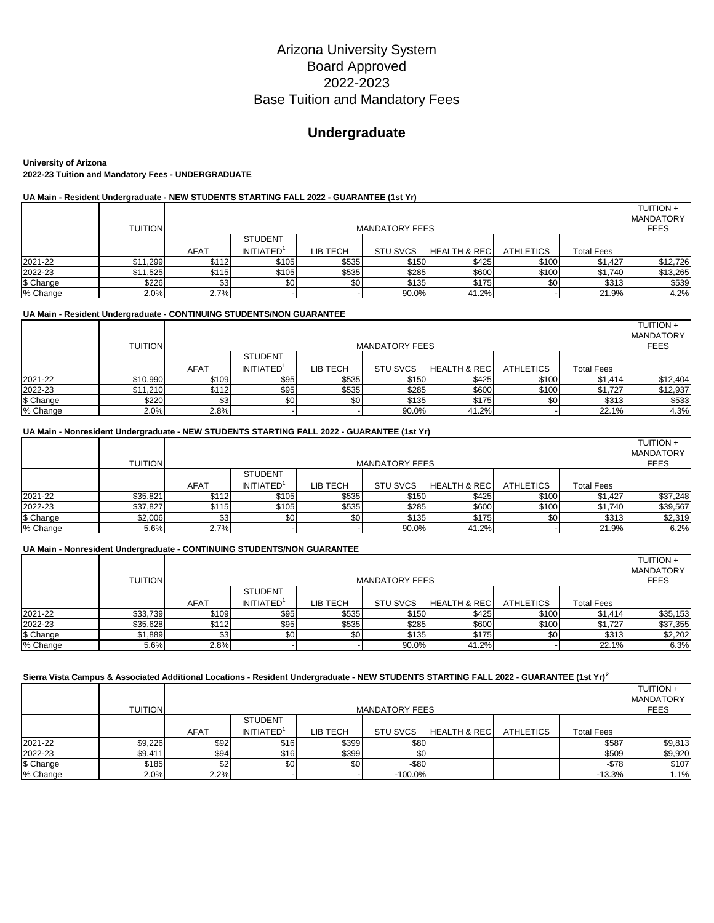# **Undergraduate**

**University of Arizona 2022-23 Tuition and Mandatory Fees - UNDERGRADUATE**

# **UA Main - Resident Undergraduate - NEW STUDENTS STARTING FALL 2022 - GUARANTEE (1st Yr)**

|           | <b>TUITION</b> |             | <b>MANDATORY</b><br><b>MANDATORY FEES</b> |          |                 |                         |                  |            |          |  |  |  |  |
|-----------|----------------|-------------|-------------------------------------------|----------|-----------------|-------------------------|------------------|------------|----------|--|--|--|--|
|           |                |             | <b>STUDENT</b>                            |          |                 |                         |                  |            |          |  |  |  |  |
|           |                | <b>AFAT</b> | INITIATED <sup>1</sup>                    | LIB TECH | <b>STU SVCS</b> | <b>HEALTH &amp; REC</b> | <b>ATHLETICS</b> | Total Fees |          |  |  |  |  |
| 2021-22   | \$11,299       | \$112       | \$105                                     | \$535    | \$150           | \$425                   | \$100            | \$1,427    | \$12,726 |  |  |  |  |
| 2022-23   | \$11,525       | \$115       | \$105                                     | \$535    | \$285           | \$600                   | \$100            | \$1,740    | \$13,265 |  |  |  |  |
| \$ Change | \$226          | \$3         | \$0                                       |          | \$135           | \$175                   | \$0              | \$313      | \$539    |  |  |  |  |
| % Change  | 2.0%           | 2.7%        |                                           |          | 90.0%           | 41.2%                   |                  | 21.9%      | 4.2%     |  |  |  |  |

### **UA Main - Resident Undergraduate - CONTINUING STUDENTS/NON GUARANTEE**

|           | <b>TUITION</b> |       | <b>MANDATORY FEES</b> |          |                 |                          |                  |                   |          |  |  |
|-----------|----------------|-------|-----------------------|----------|-----------------|--------------------------|------------------|-------------------|----------|--|--|
|           |                |       | <b>STUDENT</b>        |          |                 |                          |                  |                   |          |  |  |
|           |                | AFAT  | <b>INITIATED</b>      | LIB TECH | <b>STU SVCS</b> | <b>HEALTH &amp; RECI</b> | <b>ATHLETICS</b> | <b>Total Fees</b> |          |  |  |
| 2021-22   | \$10,990       | \$109 | \$95                  | \$535    | \$150           | \$425                    | \$100            | \$1,414           | \$12,404 |  |  |
| 2022-23   | \$11,210       | \$112 | \$95                  | \$535    | \$285           | \$600                    | \$100            | \$1,727           | \$12,937 |  |  |
| \$ Change | \$220          | \$3   | \$0                   | \$0      | \$135           | \$175                    | \$0              | \$313             | \$533    |  |  |
| % Change  | 2.0%           | 2.8%  |                       |          | 90.0%           | 41.2%                    |                  | 22.1%             | 4.3%     |  |  |

### **UA Main - Nonresident Undergraduate - NEW STUDENTS STARTING FALL 2022 - GUARANTEE (1st Yr)**

|           | <b>TUITION</b> |             | <b>MANDATORY FEES</b>  |          |                 |                         |                  |            |          |  |  |  |
|-----------|----------------|-------------|------------------------|----------|-----------------|-------------------------|------------------|------------|----------|--|--|--|
|           |                |             | <b>STUDENT</b>         |          |                 |                         |                  |            |          |  |  |  |
|           |                | <b>AFAT</b> | INITIATED <sup>1</sup> | LIB TECH | <b>STU SVCS</b> | <b>HEALTH &amp; REC</b> | <b>ATHLETICS</b> | Total Fees |          |  |  |  |
| 2021-22   | \$35.821       | \$112       | \$105                  | \$535    | \$150           | \$425                   | \$100            | \$1.427    | \$37,248 |  |  |  |
| 2022-23   | \$37,827       | \$115       | \$105                  | \$535    | \$285           | \$600                   | \$100            | \$1,740    | \$39,567 |  |  |  |
| \$ Change | \$2,006        | \$3         | \$0                    | \$0      | \$135           | \$175                   | \$0              | \$313      | \$2,319  |  |  |  |
| % Change  | 5.6%           | 2.7%        |                        |          | 90.0%           | 41.2%                   |                  | 21.9%      | 6.2%     |  |  |  |

#### **UA Main - Nonresident Undergraduate - CONTINUING STUDENTS/NON GUARANTEE**

|           | <b>TUITION</b> | <b>MANDATORY</b><br><b>MANDATORY FEES</b> |                  |                  |                 |                         |                  |                   |          |  |
|-----------|----------------|-------------------------------------------|------------------|------------------|-----------------|-------------------------|------------------|-------------------|----------|--|
|           |                |                                           | <b>STUDENT</b>   |                  |                 |                         |                  |                   |          |  |
|           |                | <b>AFAT</b>                               | <b>INITIATED</b> | LIB TECH         | <b>STU SVCS</b> | <b>HEALTH &amp; REC</b> | <b>ATHLETICS</b> | <b>Total Fees</b> |          |  |
| 2021-22   | \$33,739       | \$109                                     | \$95             | \$535            | \$150           | \$425                   | \$100            | \$1.414           | \$35,153 |  |
| 2022-23   | \$35,628       | \$112                                     | \$95             | \$535            | \$285           | \$600                   | \$100            | \$1.727           | \$37,355 |  |
| \$ Change | \$1,889        | \$3                                       | \$0              | \$0 <sub>1</sub> | \$135           | \$175                   | \$0              | \$313             | \$2,202  |  |
| % Change  | 5.6%           | 2.8%                                      |                  |                  | 90.0%           | 41.2%                   |                  | 22.1%             | 6.3%     |  |

# **Sierra Vista Campus & Associated Additional Locations - Resident Undergraduate - NEW STUDENTS STARTING FALL 2022 - GUARANTEE (1st Yr)<sup>2</sup>**

|           | <b>TUITION</b> |             | <b>MANDATORY</b><br><b>MANDATORY FEES</b> |          |                 |                         |                  |                   |         |  |  |  |
|-----------|----------------|-------------|-------------------------------------------|----------|-----------------|-------------------------|------------------|-------------------|---------|--|--|--|
|           |                |             | <b>STUDENT</b>                            |          |                 |                         |                  |                   |         |  |  |  |
|           |                | <b>AFAT</b> | <b>INITIATED</b>                          | LIB TECH | <b>STU SVCS</b> | <b>HEALTH &amp; REC</b> | <b>ATHLETICS</b> | <b>Total Fees</b> |         |  |  |  |
| 2021-22   | \$9,226        | \$92        | \$16                                      | \$399    | \$80            |                         |                  | \$587             | \$9,813 |  |  |  |
| 2022-23   | \$9,411        | \$94        | \$16                                      | \$399    | \$0             |                         |                  | \$509             | \$9,920 |  |  |  |
| \$ Change | \$185          | \$2         | \$0                                       | \$0      | $-$ \$80        |                         |                  | $-$78$            | \$107   |  |  |  |
| % Change  | 2.0%           | 2.2%        |                                           |          | $-100.0%$       |                         |                  | $-13.3%$          | 1.1%    |  |  |  |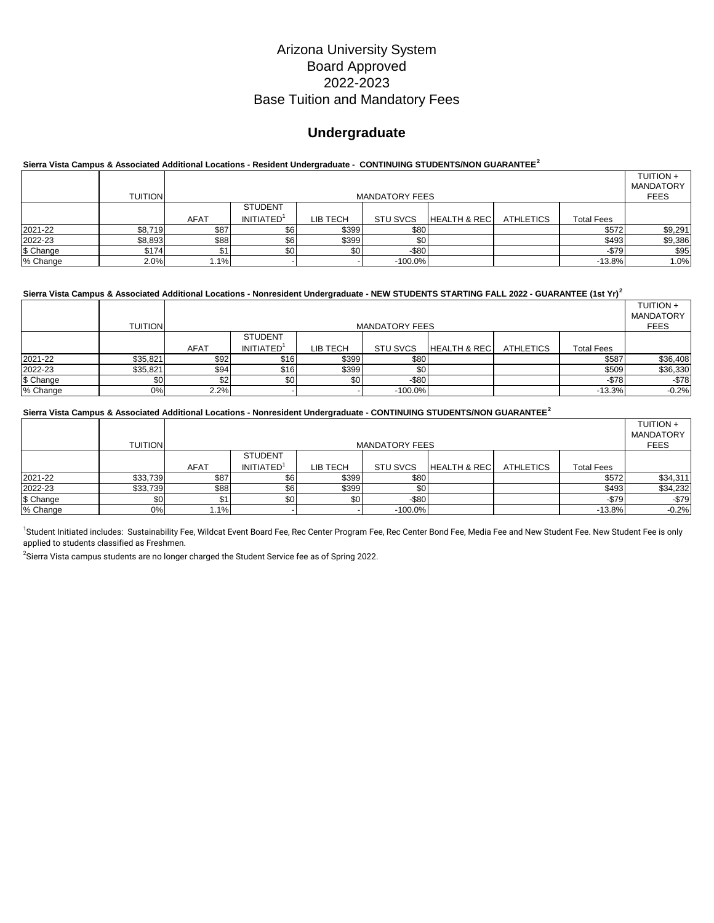# **Undergraduate**

# **Sierra Vista Campus & Associated Additional Locations - Resident Undergraduate - CONTINUING STUDENTS/NON GUARANTEE<sup>2</sup>**

|           | <b>TUITION</b> |             | <b>MANDATORY</b><br><b>MANDATORY FEES</b> |          |                 |                         |                  |                   |         |  |  |  |
|-----------|----------------|-------------|-------------------------------------------|----------|-----------------|-------------------------|------------------|-------------------|---------|--|--|--|
|           |                |             | <b>STUDENT</b>                            |          |                 |                         |                  |                   |         |  |  |  |
|           |                | <b>AFAT</b> | <b>INITIATED</b>                          | LIB TECH | <b>STU SVCS</b> | <b>HEALTH &amp; REC</b> | <b>ATHLETICS</b> | <b>Total Fees</b> |         |  |  |  |
| 2021-22   | \$8,719        | \$87        | \$6                                       | \$399    | \$80            |                         |                  | \$572             | \$9,291 |  |  |  |
| 2022-23   | \$8,893        | \$88        | \$6                                       | \$399    | \$0             |                         |                  | \$493             | \$9,386 |  |  |  |
| \$ Change | \$174          |             | \$0                                       | \$0      | $-$ \$80        |                         |                  | $-$79$            | \$95    |  |  |  |
| % Change  | 2.0%           | 1.1%        |                                           |          | $-100.0%$       |                         |                  | $-13.8%$          | 1.0%    |  |  |  |

### **Sierra Vista Campus & Associated Additional Locations - Nonresident Undergraduate - NEW STUDENTS STARTING FALL 2022 - GUARANTEE (1st Yr)<sup>2</sup>**

|           | <b>TUITION</b> |      | <b>MANDATORY</b><br><b>MANDATORY FEES</b> |          |                 |                         |                  |                   |          |  |  |  |  |
|-----------|----------------|------|-------------------------------------------|----------|-----------------|-------------------------|------------------|-------------------|----------|--|--|--|--|
|           |                |      | <b>STUDENT</b>                            |          |                 |                         |                  |                   |          |  |  |  |  |
|           |                | AFAT | INITIATED <sup>1</sup>                    | LIB TECH | <b>STU SVCS</b> | <b>HEALTH &amp; REC</b> | <b>ATHLETICS</b> | <b>Total Fees</b> |          |  |  |  |  |
| 2021-22   | \$35,821       | \$92 | \$16                                      | \$399    | \$80            |                         |                  | \$587             | \$36,408 |  |  |  |  |
| 2022-23   | \$35,821       | \$94 | \$16                                      | \$399    | \$0             |                         |                  | \$509             | \$36,330 |  |  |  |  |
| \$ Change | \$0            | \$2  | \$0                                       | \$0      | $-$ \$80        |                         |                  | $-$78$            | $-$78$   |  |  |  |  |
| % Change  | 0%             | 2.2% |                                           |          | $-100.0%$       |                         |                  | $-13.3%$          | $-0.2%$  |  |  |  |  |

#### **Sierra Vista Campus & Associated Additional Locations - Nonresident Undergraduate - CONTINUING STUDENTS/NON GUARANTEE<sup>2</sup>**

|           | <b>TUITION</b> |             | MANDATORY<br><b>MANDATORY FEES</b> |          |                 |                          |                  |                   |             |  |  |  |
|-----------|----------------|-------------|------------------------------------|----------|-----------------|--------------------------|------------------|-------------------|-------------|--|--|--|
|           |                |             | <b>STUDENT</b>                     |          |                 |                          |                  |                   | <b>FEES</b> |  |  |  |
|           |                | <b>AFAT</b> | <b>INITIATED</b>                   | LIB TECH | <b>STU SVCS</b> | <b>HEALTH &amp; RECI</b> | <b>ATHLETICS</b> | <b>Total Fees</b> |             |  |  |  |
| 2021-22   | \$33,739       | \$87        | \$6                                | \$399    | \$80            |                          |                  | \$572             | \$34,311    |  |  |  |
| 2022-23   | \$33,739       | \$88        | \$6                                | \$399    | \$Ο             |                          |                  | \$493             | \$34,232    |  |  |  |
| \$ Change |                | \$1         | \$0                                | \$0      | $-$ \$80        |                          |                  | $-$79$            | $-$79$      |  |  |  |
| % Change  | 0%             | 1.1%        |                                    |          | $-100.0%$       |                          |                  | $-13.8%$          | $-0.2%$     |  |  |  |

<sup>1</sup>Student Initiated includes: Sustainability Fee, Wildcat Event Board Fee, Rec Center Program Fee, Rec Center Bond Fee, Media Fee and New Student Fee. New Student Fee is only applied to students classified as Freshmen.

 $^2$ Sierra Vista campus students are no longer charged the Student Service fee as of Spring 2022.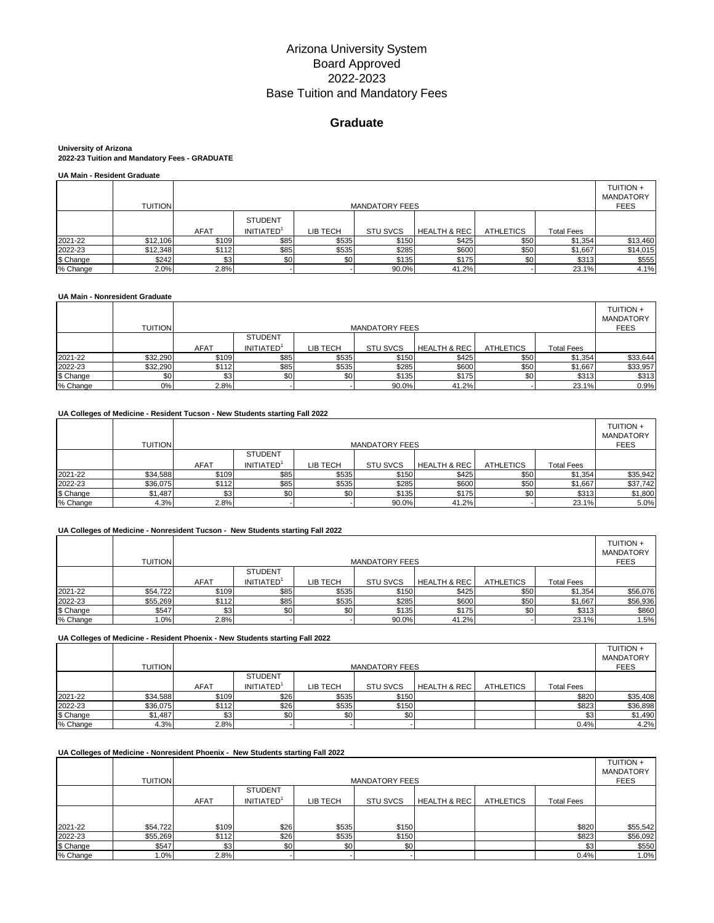# **Graduate**

#### **University of Arizona 2022-23 Tuition and Mandatory Fees - GRADUATE**

|  | <b>UA Main - Resident Graduate</b> |
|--|------------------------------------|
|  |                                    |

|           | <b>TUITION</b> |             | <b>MANDATORY FEES</b>              |          |                 |                         |                  |                   |          |  |  |
|-----------|----------------|-------------|------------------------------------|----------|-----------------|-------------------------|------------------|-------------------|----------|--|--|
|           |                | <b>AFAT</b> | <b>STUDENT</b><br><b>INITIATED</b> | LIB TECH | <b>STU SVCS</b> | <b>HEALTH &amp; REC</b> | <b>ATHLETICS</b> | <b>Total Fees</b> |          |  |  |
| 2021-22   | \$12,106       | \$109       | \$85                               | \$535    | \$150           | \$425                   | \$50             | \$1,354           | \$13,460 |  |  |
| 2022-23   | \$12,348       | \$112       | \$85                               | \$535    | \$285           | \$600                   | \$50             | \$1,667           | \$14,015 |  |  |
| \$ Change | \$242          | \$3         | \$0                                | \$0      | \$135           | \$175                   | \$0 <sub>1</sub> | \$313             | \$555    |  |  |
| % Change  | 2.0%           | 2.8%        |                                    |          | 90.0%           | 41.2%                   |                  | 23.1%             | 4.1%     |  |  |

### **UA Main - Nonresident Graduate**

|           | <b>TUITION</b>   |             | <b>MANDATORY FEES</b> |          |                 |                         |                  |                   |          |  |  |  |
|-----------|------------------|-------------|-----------------------|----------|-----------------|-------------------------|------------------|-------------------|----------|--|--|--|
|           |                  |             | <b>STUDENT</b>        |          |                 |                         |                  |                   |          |  |  |  |
|           |                  | <b>AFAT</b> | <b>INITIATED</b>      | LIB TECH | <b>STU SVCS</b> | <b>HEALTH &amp; REC</b> | <b>ATHLETICS</b> | <b>Total Fees</b> |          |  |  |  |
| 2021-22   | \$32,290         | \$109       | \$85                  | \$535    | \$150           | \$425                   | \$50             | \$1,354           | \$33,644 |  |  |  |
| 2022-23   | \$32,290         | \$112       | \$85                  | \$535    | \$285           | \$600                   | \$50             | \$1,667           | \$33,957 |  |  |  |
| \$ Change | \$0 <sub>1</sub> | \$3         | \$0                   | \$0      | \$135           | \$175                   | \$0              | \$313             | \$313    |  |  |  |
| % Change  | 0%               | 2.8%        |                       |          | 90.0%           | 41.2%                   |                  | 23.1%             | 0.9%     |  |  |  |

### **UA Colleges of Medicine - Resident Tucson - New Students starting Fall 2022**

|           | <b>TUITION</b> |             | <b>MANDATORY FEES</b> |          |                 |                         |                  |                   |          |  |  |  |
|-----------|----------------|-------------|-----------------------|----------|-----------------|-------------------------|------------------|-------------------|----------|--|--|--|
|           |                |             | <b>STUDENT</b>        |          |                 |                         |                  |                   |          |  |  |  |
|           |                | <b>AFAT</b> | <b>INITIATED</b>      | LIB TECH | <b>STU SVCS</b> | <b>HEALTH &amp; REC</b> | <b>ATHLETICS</b> | <b>Total Fees</b> |          |  |  |  |
| 2021-22   | \$34,588       | \$109       | \$85                  | \$535    | \$150           | \$425                   | \$50             | \$1,354           | \$35,942 |  |  |  |
| 2022-23   | \$36,075       | \$112       | \$85                  | \$535    | \$285           | \$600                   | \$50             | \$1,667           | \$37,742 |  |  |  |
| \$ Change | \$1,487        | \$3         | \$0                   | \$0      | \$135           | \$175                   | \$0              | \$313             | \$1,800  |  |  |  |
| % Change  | 4.3%           | 2.8%        |                       |          | 90.0%           | 41.2%                   |                  | 23.1%             | 5.0%     |  |  |  |

### **UA Colleges of Medicine - Nonresident Tucson - New Students starting Fall 2022**

|           | <b>TUITION</b> |             | <b>MANDATORY FEES</b>                    |          |                 |                         |                  |                   |          |  |  |  |
|-----------|----------------|-------------|------------------------------------------|----------|-----------------|-------------------------|------------------|-------------------|----------|--|--|--|
|           |                | <b>AFAT</b> | <b>STUDENT</b><br>INITIATED <sup>1</sup> | LIB TECH | <b>STU SVCS</b> | <b>HEALTH &amp; REC</b> | <b>ATHLETICS</b> | <b>Total Fees</b> |          |  |  |  |
| 2021-22   | \$54,722       | \$109       | \$85                                     | \$535    | \$150           | \$425                   | \$50             | \$1,354           | \$56,076 |  |  |  |
| 2022-23   | \$55,269       | \$112       | \$85                                     | \$535    | \$285           | \$600                   | \$50             | \$1,667           | \$56,936 |  |  |  |
| \$ Change | \$547          | \$3         | \$0                                      | \$0      | \$135           | \$175                   | \$0              | \$313             | \$860    |  |  |  |
| % Change  | 1.0%           | 2.8%        |                                          |          | 90.0%           | 41.2%                   |                  | 23.1%             | 1.5%     |  |  |  |

#### **UA Colleges of Medicine - Resident Phoenix - New Students starting Fall 2022**

|           | <b>TUITION</b> |             | <b>MANDATORY FEES</b>  |          |                 |                         |                  |                   |          |  |  |  |
|-----------|----------------|-------------|------------------------|----------|-----------------|-------------------------|------------------|-------------------|----------|--|--|--|
|           |                |             | <b>STUDENT</b>         |          |                 |                         |                  |                   |          |  |  |  |
|           |                | <b>AFAT</b> | INITIATED <sup>1</sup> | LIB TECH | <b>STU SVCS</b> | <b>HEALTH &amp; REC</b> | <b>ATHLETICS</b> | <b>Total Fees</b> |          |  |  |  |
| 2021-22   | \$34,588       | \$109       | \$26                   | \$535    | \$150           |                         |                  | \$820             | \$35,408 |  |  |  |
| 2022-23   | \$36,075       | \$112       | \$26                   | \$535    | \$150           |                         |                  | \$823             | \$36,898 |  |  |  |
| \$ Change | \$1,487        | აა          | \$0                    | \$0      | \$0             |                         |                  | \$3               | \$1,490  |  |  |  |
| % Change  | 4.3%           | 2.8%        |                        |          |                 |                         |                  | 0.4%              | 4.2%     |  |  |  |

### **UA Colleges of Medicine - Nonresident Phoenix - New Students starting Fall 2022**

|           | <b>TUITION</b> |             | <b>MANDATORY FEES</b>  |          |                 |                         |                  |                   |          |  |  |  |  |
|-----------|----------------|-------------|------------------------|----------|-----------------|-------------------------|------------------|-------------------|----------|--|--|--|--|
|           |                |             | <b>STUDENT</b>         |          |                 |                         |                  |                   |          |  |  |  |  |
|           |                | <b>AFAT</b> | INITIATED <sup>1</sup> | LIB TECH | <b>STU SVCS</b> | <b>HEALTH &amp; REC</b> | <b>ATHLETICS</b> | <b>Total Fees</b> |          |  |  |  |  |
|           |                |             |                        |          |                 |                         |                  |                   |          |  |  |  |  |
| 2021-22   | \$54,722       | \$109       | \$26                   | \$535    | \$150           |                         |                  | \$820             | \$55,542 |  |  |  |  |
| 2022-23   | \$55,269       | \$112       | \$26                   | \$535    | \$150           |                         |                  | \$823             | \$56,092 |  |  |  |  |
| \$ Change | \$547          | \$3         | \$0                    | \$0      | \$0             |                         |                  | \$3               | \$550    |  |  |  |  |
| % Change  | 1.0%           | 2.8%        |                        |          |                 |                         |                  | 0.4%              | 1.0%     |  |  |  |  |